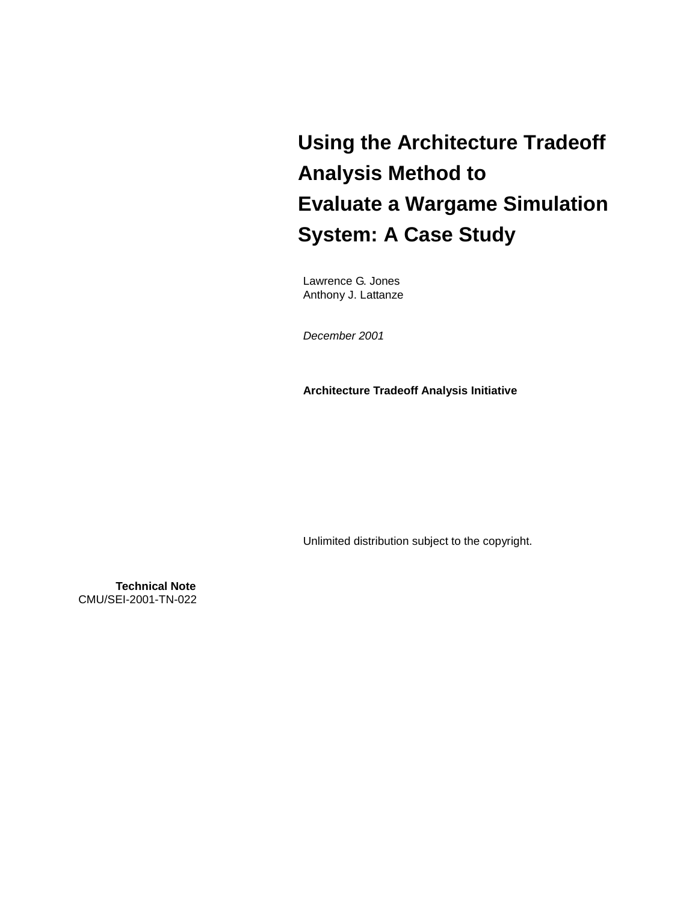# **Using the Architecture Tradeoff Analysis Method to Evaluate a Wargame Simulation System: A Case Study**

Lawrence G. Jones Anthony J. Lattanze

December 2001

**Architecture Tradeoff Analysis Initiative** 

Unlimited distribution subject to the copyright.

**Technical Note** CMU/SEI-2001-TN-022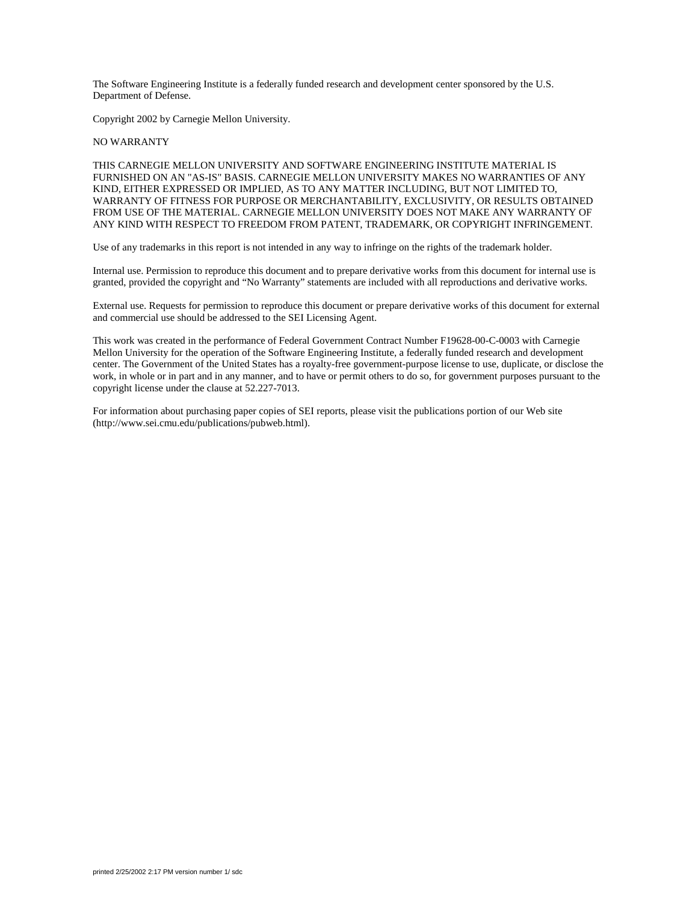The Software Engineering Institute is a federally funded research and development center sponsored by the U.S. Department of Defense.

Copyright 2002 by Carnegie Mellon University.

#### NO WARRANTY

THIS CARNEGIE MELLON UNIVERSITY AND SOFTWARE ENGINEERING INSTITUTE MATERIAL IS FURNISHED ON AN "AS-IS" BASIS. CARNEGIE MELLON UNIVERSITY MAKES NO WARRANTIES OF ANY KIND, EITHER EXPRESSED OR IMPLIED, AS TO ANY MATTER INCLUDING, BUT NOT LIMITED TO, WARRANTY OF FITNESS FOR PURPOSE OR MERCHANTABILITY, EXCLUSIVITY, OR RESULTS OBTAINED FROM USE OF THE MATERIAL. CARNEGIE MELLON UNIVERSITY DOES NOT MAKE ANY WARRANTY OF ANY KIND WITH RESPECT TO FREEDOM FROM PATENT, TRADEMARK, OR COPYRIGHT INFRINGEMENT.

Use of any trademarks in this report is not intended in any way to infringe on the rights of the trademark holder.

Internal use. Permission to reproduce this document and to prepare derivative works from this document for internal use is granted, provided the copyright and "No Warranty" statements are included with all reproductions and derivative works.

External use. Requests for permission to reproduce this document or prepare derivative works of this document for external and commercial use should be addressed to the SEI Licensing Agent.

This work was created in the performance of Federal Government Contract Number F19628-00-C-0003 with Carnegie Mellon University for the operation of the Software Engineering Institute, a federally funded research and development center. The Government of the United States has a royalty-free government-purpose license to use, duplicate, or disclose the work, in whole or in part and in any manner, and to have or permit others to do so, for government purposes pursuant to the copyright license under the clause at 52.227-7013.

For information about purchasing paper copies of SEI reports, please visit the publications portion of our Web site (http://www.sei.cmu.edu/publications/pubweb.html).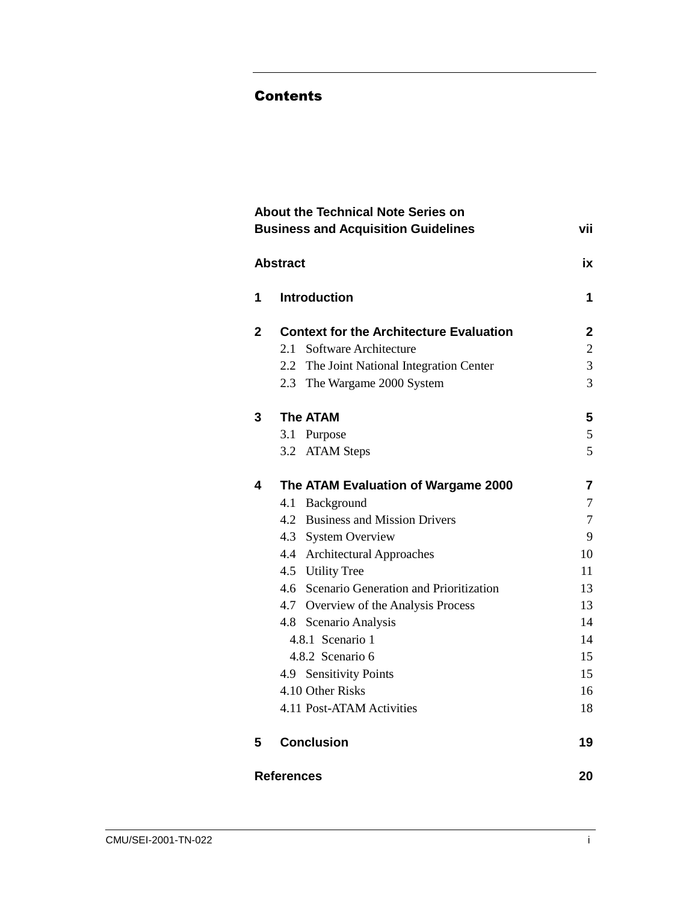#### Contents

|              | <b>About the Technical Note Series on</b><br><b>Business and Acquisition Guidelines</b>                                                                                                                                                                                                                                                                                                                | vii                                                                                       |
|--------------|--------------------------------------------------------------------------------------------------------------------------------------------------------------------------------------------------------------------------------------------------------------------------------------------------------------------------------------------------------------------------------------------------------|-------------------------------------------------------------------------------------------|
|              | <b>Abstract</b>                                                                                                                                                                                                                                                                                                                                                                                        | ix                                                                                        |
| 1            | <b>Introduction</b>                                                                                                                                                                                                                                                                                                                                                                                    | 1                                                                                         |
| $\mathbf{2}$ | <b>Context for the Architecture Evaluation</b><br>2.1 Software Architecture<br>2.2 The Joint National Integration Center<br>2.3 The Wargame 2000 System                                                                                                                                                                                                                                                | $\mathbf 2$<br>$\overline{2}$<br>3<br>$\overline{3}$                                      |
| 3            | <b>The ATAM</b><br>3.1 Purpose<br><b>ATAM Steps</b><br>3.2                                                                                                                                                                                                                                                                                                                                             | 5<br>5<br>5                                                                               |
| 4            | The ATAM Evaluation of Wargame 2000<br>4.1 Background<br>4.2 Business and Mission Drivers<br>4.3 System Overview<br>4.4 Architectural Approaches<br>4.5 Utility Tree<br>4.6 Scenario Generation and Prioritization<br>4.7 Overview of the Analysis Process<br>4.8 Scenario Analysis<br>4.8.1 Scenario 1<br>4.8.2 Scenario 6<br>4.9 Sensitivity Points<br>4.10 Other Risks<br>4.11 Post-ATAM Activities | 7<br>7<br>$\overline{7}$<br>9<br>10<br>11<br>13<br>13<br>14<br>14<br>15<br>15<br>16<br>18 |
| 5            | <b>Conclusion</b>                                                                                                                                                                                                                                                                                                                                                                                      | 19                                                                                        |
|              | <b>References</b>                                                                                                                                                                                                                                                                                                                                                                                      | 20                                                                                        |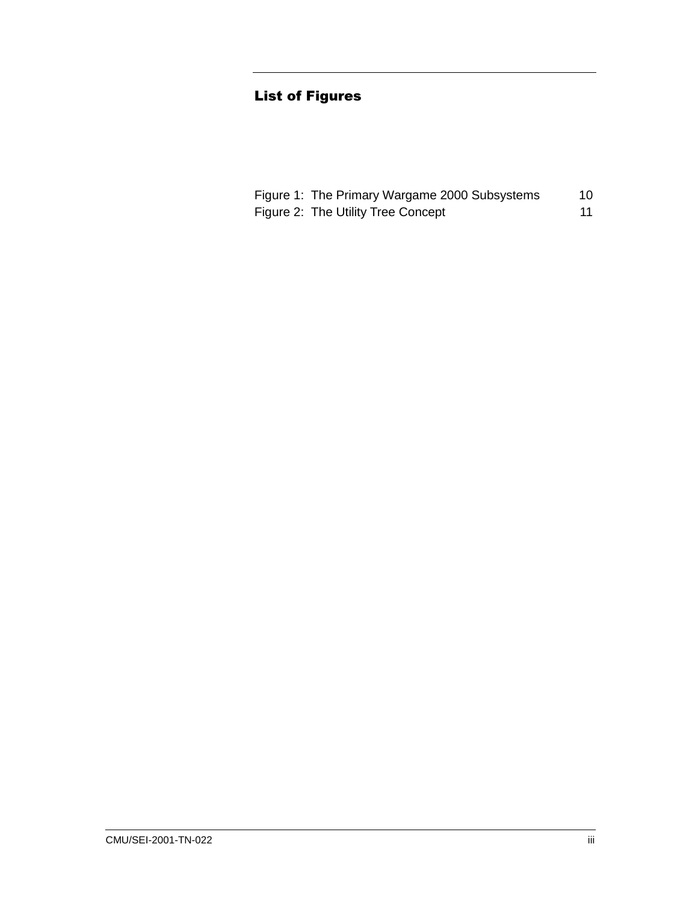# **List of Figures**

| Figure 1: The Primary Wargame 2000 Subsystems | 10 |
|-----------------------------------------------|----|
| Figure 2: The Utility Tree Concept            |    |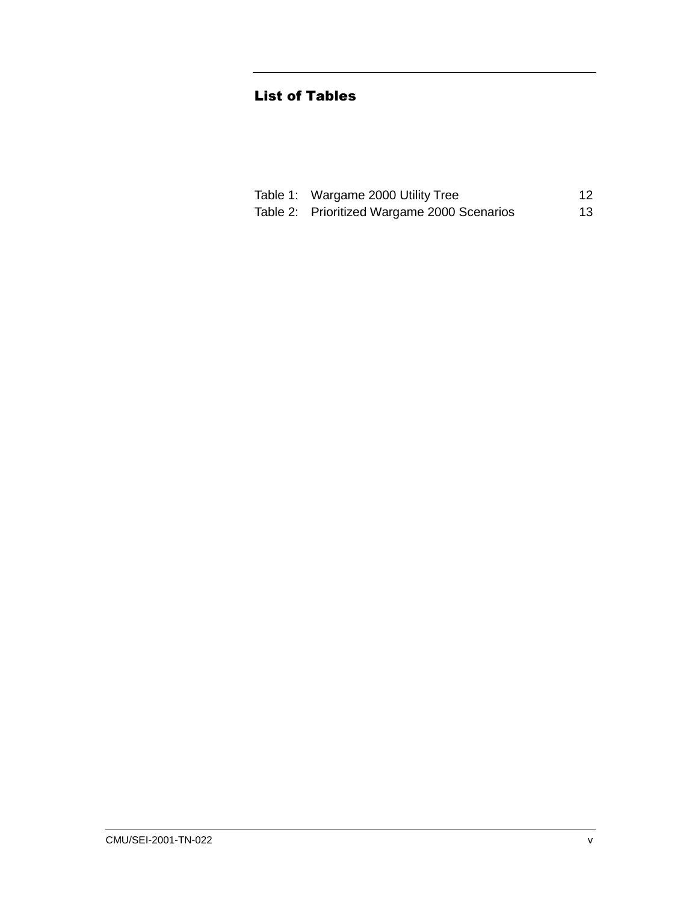# **List of Tables**

| Table 1: Wargame 2000 Utility Tree          | 12  |
|---------------------------------------------|-----|
| Table 2: Prioritized Wargame 2000 Scenarios | 13. |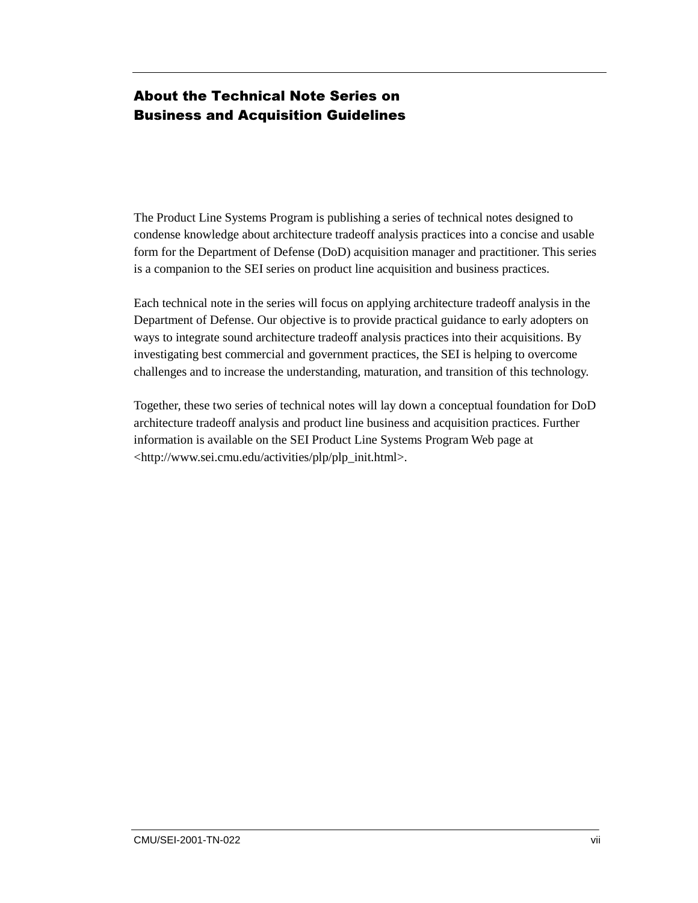# About the Technical Note Series on **Business and Acquisition Guidelines**

The Product Line Systems Program is publishing a series of technical notes designed to condense knowledge about architecture tradeoff analysis practices into a concise and usable form for the Department of Defense (DoD) acquisition manager and practitioner. This series is a companion to the SEI series on product line acquisition and business practices.

Each technical note in the series will focus on applying architecture tradeoff analysis in the Department of Defense. Our objective is to provide practical guidance to early adopters on ways to integrate sound architecture tradeoff analysis practices into their acquisitions. By investigating best commercial and government practices, the SEI is helping to overcome challenges and to increase the understanding, maturation, and transition of this technology.

Together, these two series of technical notes will lay down a conceptual foundation for DoD architecture tradeoff analysis and product line business and acquisition practices. Further information is available on the SEI Product Line Systems Program Web page at <http://www.sei.cmu.edu/activities/plp/plp\_init.html>.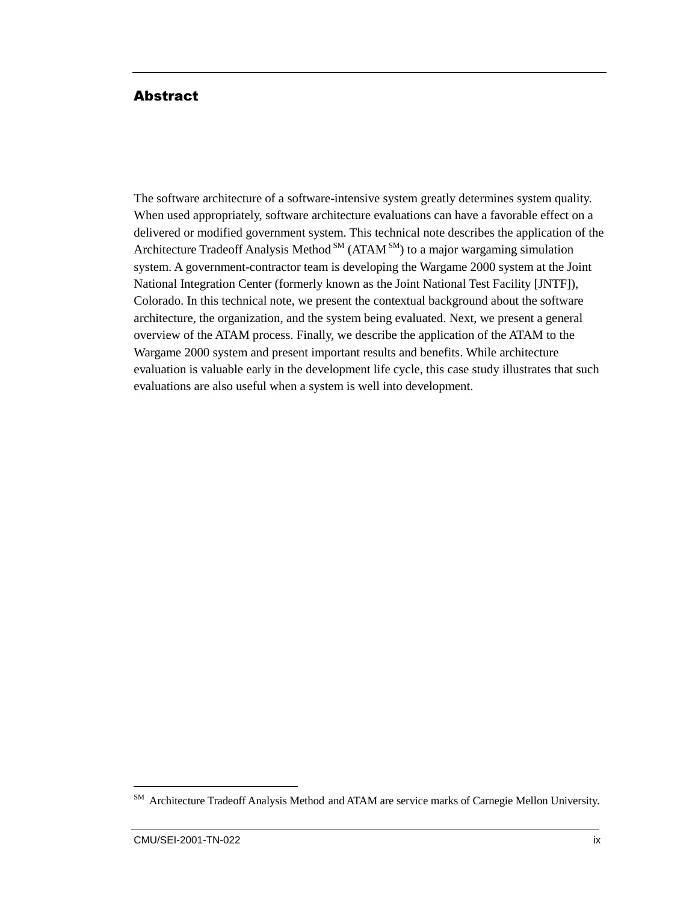#### **Abstract**

The software architecture of a software-intensive system greatly determines system quality. When used appropriately, software architecture evaluations can have a favorable effect on a delivered or modified government system. This technical note describes the application of the Architecture Tradeoff Analysis Method  $<sup>SM</sup>$  (ATAM  $<sup>SM</sup>$ ) to a major wargaming simulation</sup></sup> system. A government-contractor team is developing the Wargame 2000 system at the Joint National Integration Center (formerly known as the Joint National Test Facility [JNTF]), Colorado. In this technical note, we present the contextual background about the software architecture, the organization, and the system being evaluated. Next, we present a general overview of the ATAM process. Finally, we describe the application of the ATAM to the Wargame 2000 system and present important results and benefits. While architecture evaluation is valuable early in the development life cycle, this case study illustrates that such evaluations are also useful when a system is well into development.

 $\overline{a}$ 

<sup>&</sup>lt;sup>SM</sup> Architecture Tradeoff Analysis Method and ATAM are service marks of Carnegie Mellon University.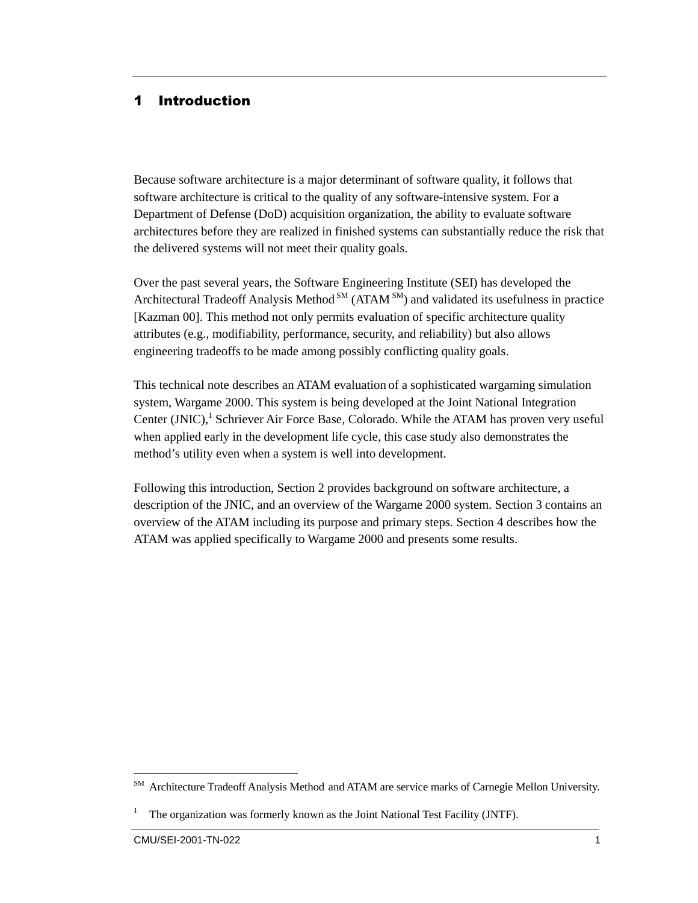# 1 Introduction

Because software architecture is a major determinant of software quality, it follows that software architecture is critical to the quality of any software-intensive system. For a Department of Defense (DoD) acquisition organization, the ability to evaluate software architectures before they are realized in finished systems can substantially reduce the risk that the delivered systems will not meet their quality goals.

Over the past several years, the Software Engineering Institute (SEI) has developed the Architectural Tradeoff Analysis Method  $<sup>SM</sup>$  (ATAM  $<sup>SM</sup>$ ) and validated its usefulness in practice</sup></sup> [Kazman 00]. This method not only permits evaluation of specific architecture quality attributes (e.g., modifiability, performance, security, and reliability) but also allows engineering tradeoffs to be made among possibly conflicting quality goals.

This technical note describes an ATAM evaluation of a sophisticated wargaming simulation system, Wargame 2000. This system is being developed at the Joint National Integration Center (JNIC),<sup>1</sup> Schriever Air Force Base, Colorado. While the ATAM has proven very useful when applied early in the development life cycle, this case study also demonstrates the method's utility even when a system is well into development.

Following this introduction, Section 2 provides background on software architecture, a description of the JNIC, and an overview of the Wargame 2000 system. Section 3 contains an overview of the ATAM including its purpose and primary steps. Section 4 describes how the ATAM was applied specifically to Wargame 2000 and presents some results.

 $\overline{a}$ 

<sup>&</sup>lt;sup>SM</sup> Architecture Tradeoff Analysis Method and ATAM are service marks of Carnegie Mellon University.

<sup>1</sup> The organization was formerly known as the Joint National Test Facility (JNTF).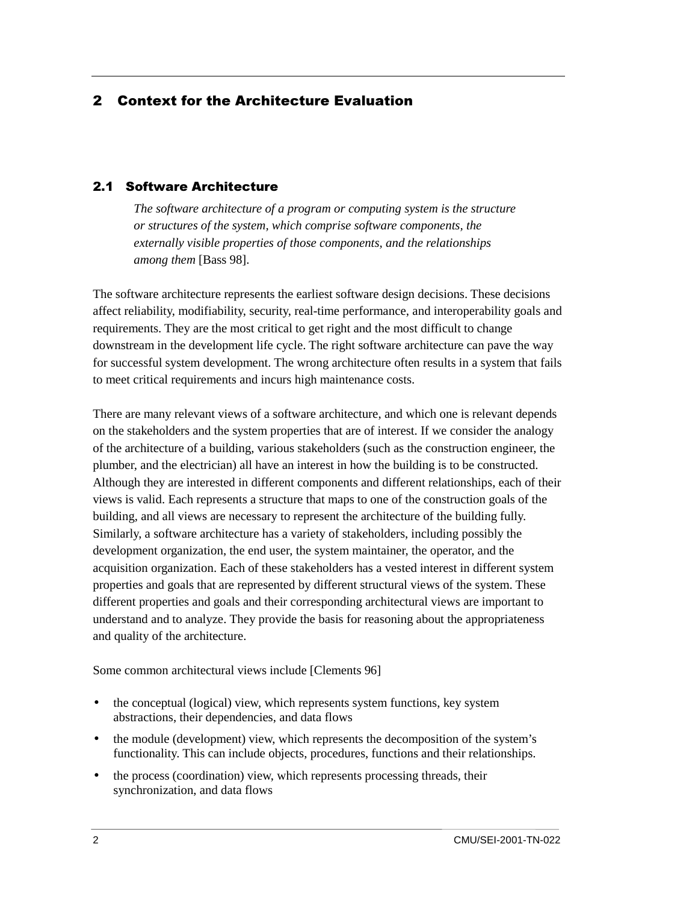# 2 Context for the Architecture Evaluation

#### 2.1 Software Architecture

*The software architecture of a program or computing system is the structure or structures of the system, which comprise software components, the externally visible properties of those components, and the relationships among them* [Bass 98].

The software architecture represents the earliest software design decisions. These decisions affect reliability, modifiability, security, real-time performance, and interoperability goals and requirements. They are the most critical to get right and the most difficult to change downstream in the development life cycle. The right software architecture can pave the way for successful system development. The wrong architecture often results in a system that fails to meet critical requirements and incurs high maintenance costs.

There are many relevant views of a software architecture, and which one is relevant depends on the stakeholders and the system properties that are of interest. If we consider the analogy of the architecture of a building, various stakeholders (such as the construction engineer, the plumber, and the electrician) all have an interest in how the building is to be constructed. Although they are interested in different components and different relationships, each of their views is valid. Each represents a structure that maps to one of the construction goals of the building, and all views are necessary to represent the architecture of the building fully. Similarly, a software architecture has a variety of stakeholders, including possibly the development organization, the end user, the system maintainer, the operator, and the acquisition organization. Each of these stakeholders has a vested interest in different system properties and goals that are represented by different structural views of the system. These different properties and goals and their corresponding architectural views are important to understand and to analyze. They provide the basis for reasoning about the appropriateness and quality of the architecture.

Some common architectural views include [Clements 96]

- the conceptual (logical) view, which represents system functions, key system abstractions, their dependencies, and data flows
- the module (development) view, which represents the decomposition of the system's functionality. This can include objects, procedures, functions and their relationships.
- the process (coordination) view, which represents processing threads, their synchronization, and data flows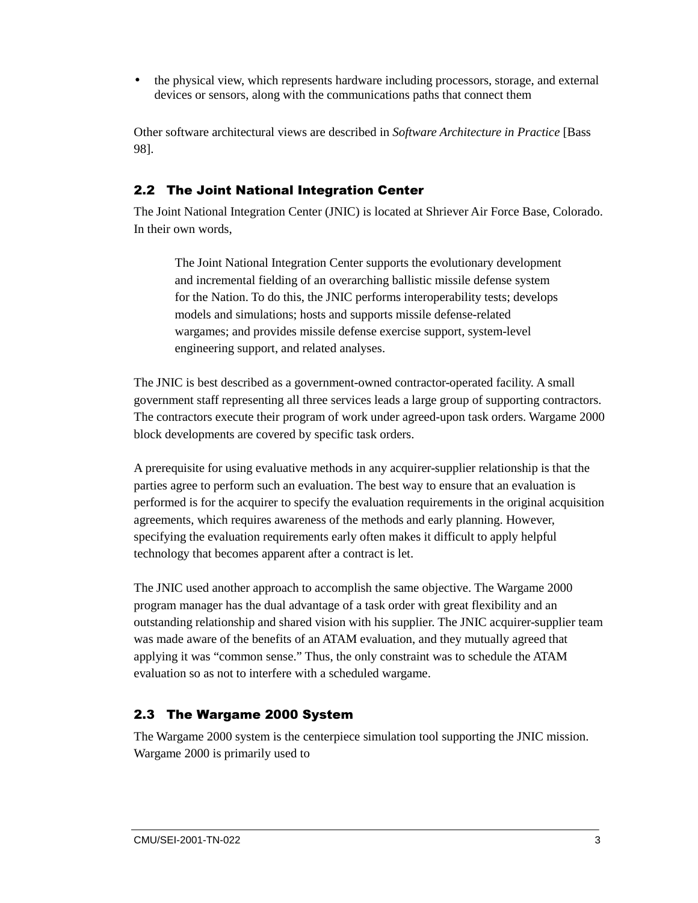• the physical view, which represents hardware including processors, storage, and external devices or sensors, along with the communications paths that connect them

Other software architectural views are described in *Software Architecture in Practice* [Bass 98].

# 2.2 The Joint National Integration Center

The Joint National Integration Center (JNIC) is located at Shriever Air Force Base, Colorado. In their own words,

The Joint National Integration Center supports the evolutionary development and incremental fielding of an overarching ballistic missile defense system for the Nation. To do this, the JNIC performs interoperability tests; develops models and simulations; hosts and supports missile defense-related wargames; and provides missile defense exercise support, system-level engineering support, and related analyses.

The JNIC is best described as a government-owned contractor-operated facility. A small government staff representing all three services leads a large group of supporting contractors. The contractors execute their program of work under agreed-upon task orders. Wargame 2000 block developments are covered by specific task orders.

A prerequisite for using evaluative methods in any acquirer-supplier relationship is that the parties agree to perform such an evaluation. The best way to ensure that an evaluation is performed is for the acquirer to specify the evaluation requirements in the original acquisition agreements, which requires awareness of the methods and early planning. However, specifying the evaluation requirements early often makes it difficult to apply helpful technology that becomes apparent after a contract is let.

The JNIC used another approach to accomplish the same objective. The Wargame 2000 program manager has the dual advantage of a task order with great flexibility and an outstanding relationship and shared vision with his supplier. The JNIC acquirer-supplier team was made aware of the benefits of an ATAM evaluation, and they mutually agreed that applying it was "common sense." Thus, the only constraint was to schedule the ATAM evaluation so as not to interfere with a scheduled wargame.

# 2.3 The Wargame 2000 System

The Wargame 2000 system is the centerpiece simulation tool supporting the JNIC mission. Wargame 2000 is primarily used to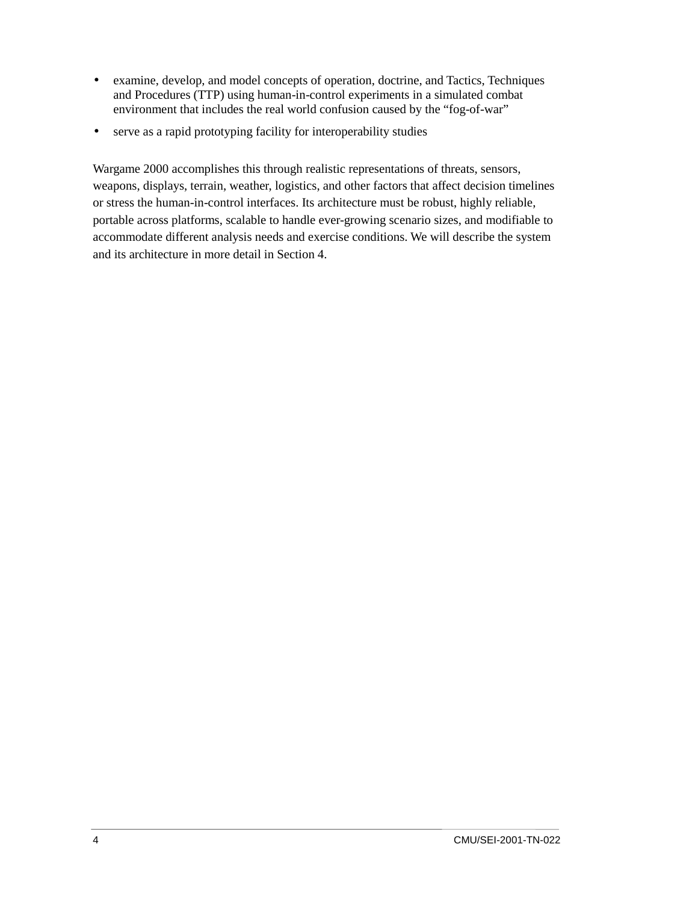- examine, develop, and model concepts of operation, doctrine, and Tactics, Techniques and Procedures (TTP) using human-in-control experiments in a simulated combat environment that includes the real world confusion caused by the "fog-of-war"
- serve as a rapid prototyping facility for interoperability studies

Wargame 2000 accomplishes this through realistic representations of threats, sensors, weapons, displays, terrain, weather, logistics, and other factors that affect decision timelines or stress the human-in-control interfaces. Its architecture must be robust, highly reliable, portable across platforms, scalable to handle ever-growing scenario sizes, and modifiable to accommodate different analysis needs and exercise conditions. We will describe the system and its architecture in more detail in Section 4.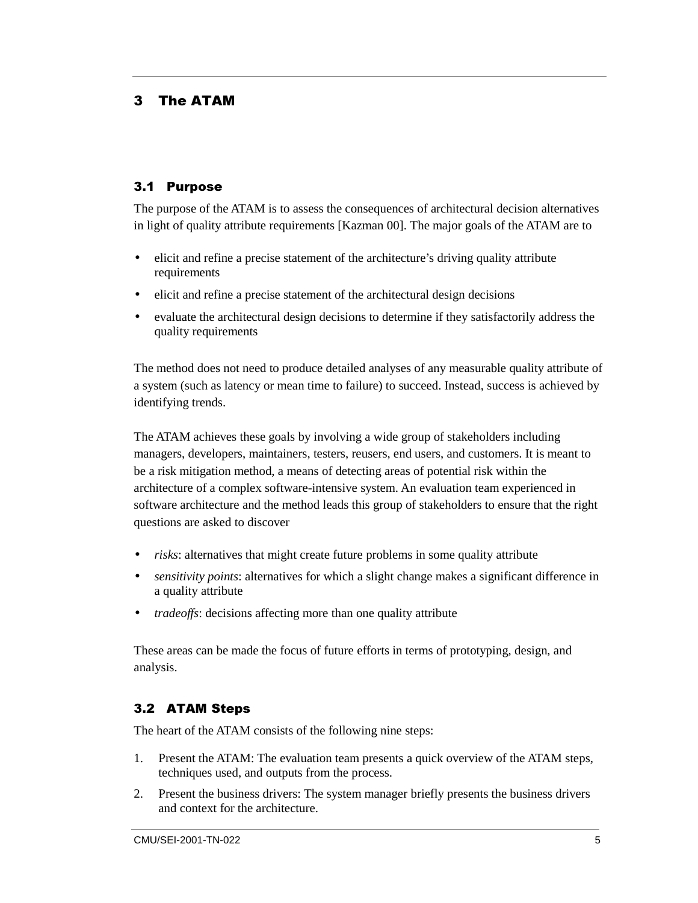#### 3 The ATAM

#### 3.1 Purpose

The purpose of the ATAM is to assess the consequences of architectural decision alternatives in light of quality attribute requirements [Kazman 00]. The major goals of the ATAM are to

- elicit and refine a precise statement of the architecture's driving quality attribute requirements
- elicit and refine a precise statement of the architectural design decisions
- evaluate the architectural design decisions to determine if they satisfactorily address the quality requirements

The method does not need to produce detailed analyses of any measurable quality attribute of a system (such as latency or mean time to failure) to succeed. Instead, success is achieved by identifying trends.

The ATAM achieves these goals by involving a wide group of stakeholders including managers, developers, maintainers, testers, reusers, end users, and customers. It is meant to be a risk mitigation method, a means of detecting areas of potential risk within the architecture of a complex software-intensive system. An evaluation team experienced in software architecture and the method leads this group of stakeholders to ensure that the right questions are asked to discover

- *risks*: alternatives that might create future problems in some quality attribute
- *sensitivity points*: alternatives for which a slight change makes a significant difference in a quality attribute
- *tradeoffs*: decisions affecting more than one quality attribute

These areas can be made the focus of future efforts in terms of prototyping, design, and analysis.

#### 3.2 ATAM Steps

The heart of the ATAM consists of the following nine steps:

- 1. Present the ATAM: The evaluation team presents a quick overview of the ATAM steps, techniques used, and outputs from the process.
- 2. Present the business drivers: The system manager briefly presents the business drivers and context for the architecture.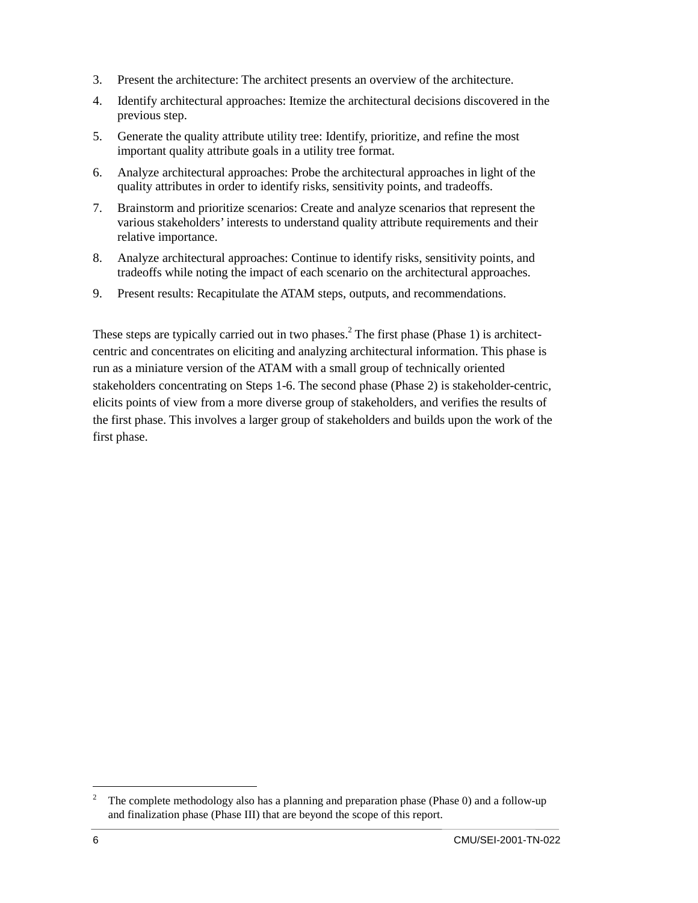- 3. Present the architecture: The architect presents an overview of the architecture.
- 4. Identify architectural approaches: Itemize the architectural decisions discovered in the previous step.
- 5. Generate the quality attribute utility tree: Identify, prioritize, and refine the most important quality attribute goals in a utility tree format.
- 6. Analyze architectural approaches: Probe the architectural approaches in light of the quality attributes in order to identify risks, sensitivity points, and tradeoffs.
- 7. Brainstorm and prioritize scenarios: Create and analyze scenarios that represent the various stakeholders' interests to understand quality attribute requirements and their relative importance.
- 8. Analyze architectural approaches: Continue to identify risks, sensitivity points, and tradeoffs while noting the impact of each scenario on the architectural approaches.
- 9. Present results: Recapitulate the ATAM steps, outputs, and recommendations.

These steps are typically carried out in two phases.<sup>2</sup> The first phase (Phase 1) is architectcentric and concentrates on eliciting and analyzing architectural information. This phase is run as a miniature version of the ATAM with a small group of technically oriented stakeholders concentrating on Steps 1-6. The second phase (Phase 2) is stakeholder-centric, elicits points of view from a more diverse group of stakeholders, and verifies the results of the first phase. This involves a larger group of stakeholders and builds upon the work of the first phase.

<sup>&</sup>lt;sup>2</sup> The complete methodology also has a planning and preparation phase (Phase 0) and a follow-up and finalization phase (Phase III) that are beyond the scope of this report.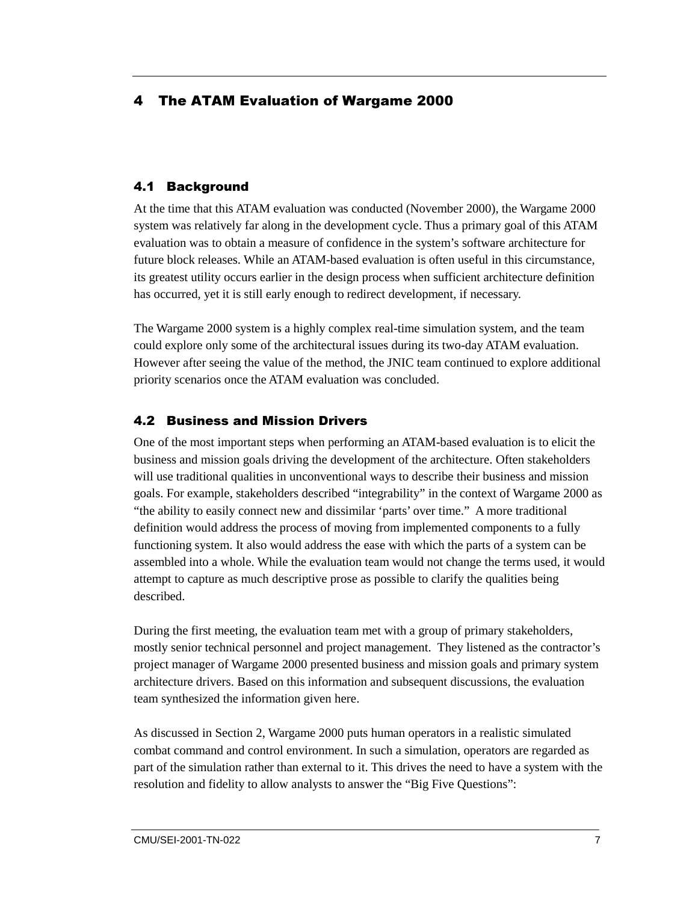# 4 The ATAM Evaluation of Wargame 2000

#### 4.1 Background

At the time that this ATAM evaluation was conducted (November 2000), the Wargame 2000 system was relatively far along in the development cycle. Thus a primary goal of this ATAM evaluation was to obtain a measure of confidence in the system's software architecture for future block releases. While an ATAM-based evaluation is often useful in this circumstance, its greatest utility occurs earlier in the design process when sufficient architecture definition has occurred, yet it is still early enough to redirect development, if necessary.

The Wargame 2000 system is a highly complex real-time simulation system, and the team could explore only some of the architectural issues during its two-day ATAM evaluation. However after seeing the value of the method, the JNIC team continued to explore additional priority scenarios once the ATAM evaluation was concluded.

#### 4.2 Business and Mission Drivers

One of the most important steps when performing an ATAM-based evaluation is to elicit the business and mission goals driving the development of the architecture. Often stakeholders will use traditional qualities in unconventional ways to describe their business and mission goals. For example, stakeholders described "integrability" in the context of Wargame 2000 as "the ability to easily connect new and dissimilar 'parts' over time." A more traditional definition would address the process of moving from implemented components to a fully functioning system. It also would address the ease with which the parts of a system can be assembled into a whole. While the evaluation team would not change the terms used, it would attempt to capture as much descriptive prose as possible to clarify the qualities being described.

During the first meeting, the evaluation team met with a group of primary stakeholders, mostly senior technical personnel and project management. They listened as the contractor's project manager of Wargame 2000 presented business and mission goals and primary system architecture drivers. Based on this information and subsequent discussions, the evaluation team synthesized the information given here.

As discussed in Section 2, Wargame 2000 puts human operators in a realistic simulated combat command and control environment. In such a simulation, operators are regarded as part of the simulation rather than external to it. This drives the need to have a system with the resolution and fidelity to allow analysts to answer the "Big Five Questions":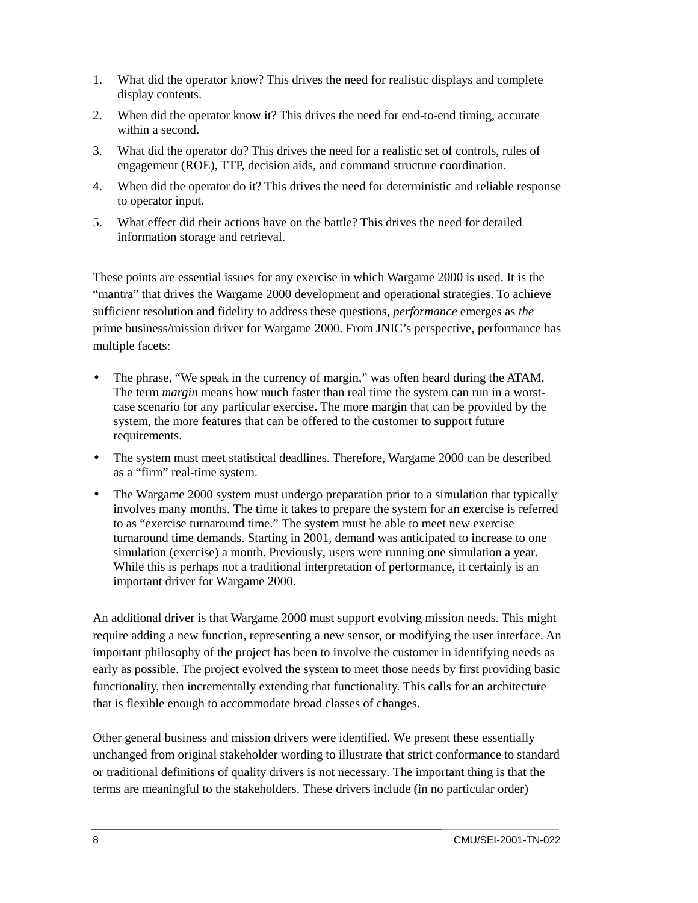- 1. What did the operator know? This drives the need for realistic displays and complete display contents.
- 2. When did the operator know it? This drives the need for end-to-end timing, accurate within a second.
- 3. What did the operator do? This drives the need for a realistic set of controls, rules of engagement (ROE), TTP, decision aids, and command structure coordination.
- 4. When did the operator do it? This drives the need for deterministic and reliable response to operator input.
- 5. What effect did their actions have on the battle? This drives the need for detailed information storage and retrieval.

These points are essential issues for any exercise in which Wargame 2000 is used. It is the "mantra" that drives the Wargame 2000 development and operational strategies. To achieve sufficient resolution and fidelity to address these questions, *performance* emerges as *the* prime business/mission driver for Wargame 2000. From JNIC's perspective, performance has multiple facets:

- The phrase, "We speak in the currency of margin," was often heard during the ATAM. The term *margin* means how much faster than real time the system can run in a worstcase scenario for any particular exercise. The more margin that can be provided by the system, the more features that can be offered to the customer to support future requirements.
- The system must meet statistical deadlines. Therefore, Wargame 2000 can be described as a "firm" real-time system.
- The Wargame 2000 system must undergo preparation prior to a simulation that typically involves many months. The time it takes to prepare the system for an exercise is referred to as "exercise turnaround time." The system must be able to meet new exercise turnaround time demands. Starting in 2001, demand was anticipated to increase to one simulation (exercise) a month. Previously, users were running one simulation a year. While this is perhaps not a traditional interpretation of performance, it certainly is an important driver for Wargame 2000.

An additional driver is that Wargame 2000 must support evolving mission needs. This might require adding a new function, representing a new sensor, or modifying the user interface. An important philosophy of the project has been to involve the customer in identifying needs as early as possible. The project evolved the system to meet those needs by first providing basic functionality, then incrementally extending that functionality. This calls for an architecture that is flexible enough to accommodate broad classes of changes.

Other general business and mission drivers were identified. We present these essentially unchanged from original stakeholder wording to illustrate that strict conformance to standard or traditional definitions of quality drivers is not necessary. The important thing is that the terms are meaningful to the stakeholders. These drivers include (in no particular order)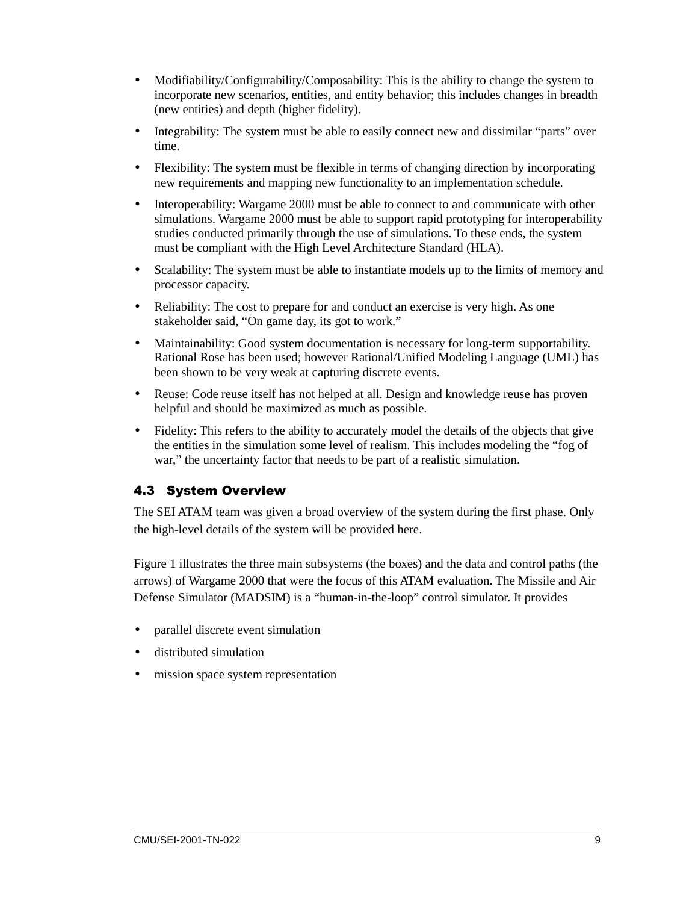- Modifiability/Configurability/Composability: This is the ability to change the system to incorporate new scenarios, entities, and entity behavior; this includes changes in breadth (new entities) and depth (higher fidelity).
- Integrability: The system must be able to easily connect new and dissimilar "parts" over time.
- Flexibility: The system must be flexible in terms of changing direction by incorporating new requirements and mapping new functionality to an implementation schedule.
- Interoperability: Wargame 2000 must be able to connect to and communicate with other simulations. Wargame 2000 must be able to support rapid prototyping for interoperability studies conducted primarily through the use of simulations. To these ends, the system must be compliant with the High Level Architecture Standard (HLA).
- Scalability: The system must be able to instantiate models up to the limits of memory and processor capacity.
- Reliability: The cost to prepare for and conduct an exercise is very high. As one stakeholder said, "On game day, its got to work."
- Maintainability: Good system documentation is necessary for long-term supportability. Rational Rose has been used; however Rational/Unified Modeling Language (UML) has been shown to be very weak at capturing discrete events.
- Reuse: Code reuse itself has not helped at all. Design and knowledge reuse has proven helpful and should be maximized as much as possible.
- Fidelity: This refers to the ability to accurately model the details of the objects that give the entities in the simulation some level of realism. This includes modeling the "fog of war," the uncertainty factor that needs to be part of a realistic simulation.

# 4.3 System Overview

The SEI ATAM team was given a broad overview of the system during the first phase. Only the high-level details of the system will be provided here.

Figure 1 illustrates the three main subsystems (the boxes) and the data and control paths (the arrows) of Wargame 2000 that were the focus of this ATAM evaluation. The Missile and Air Defense Simulator (MADSIM) is a "human-in-the-loop" control simulator. It provides

- parallel discrete event simulation
- distributed simulation
- mission space system representation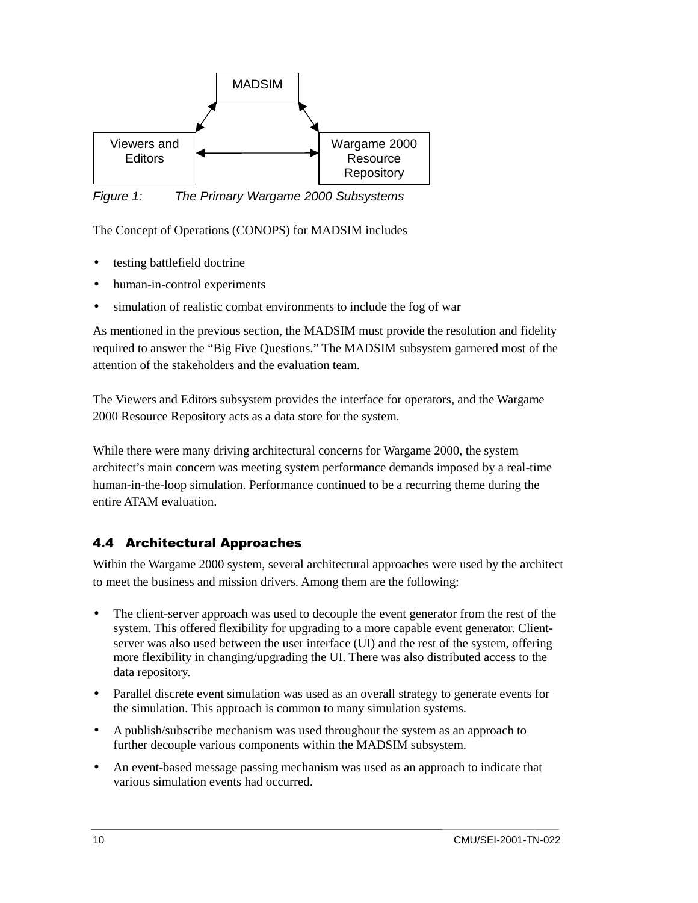

Figure 1: The Primary Wargame 2000 Subsystems

The Concept of Operations (CONOPS) for MADSIM includes

- testing battlefield doctrine
- human-in-control experiments
- simulation of realistic combat environments to include the fog of war

As mentioned in the previous section, the MADSIM must provide the resolution and fidelity required to answer the "Big Five Questions." The MADSIM subsystem garnered most of the attention of the stakeholders and the evaluation team.

The Viewers and Editors subsystem provides the interface for operators, and the Wargame 2000 Resource Repository acts as a data store for the system.

While there were many driving architectural concerns for Wargame 2000, the system architect's main concern was meeting system performance demands imposed by a real-time human-in-the-loop simulation. Performance continued to be a recurring theme during the entire ATAM evaluation.

# 4.4 Architectural Approaches

Within the Wargame 2000 system, several architectural approaches were used by the architect to meet the business and mission drivers. Among them are the following:

- The client-server approach was used to decouple the event generator from the rest of the system. This offered flexibility for upgrading to a more capable event generator. Clientserver was also used between the user interface (UI) and the rest of the system, offering more flexibility in changing/upgrading the UI. There was also distributed access to the data repository.
- Parallel discrete event simulation was used as an overall strategy to generate events for the simulation. This approach is common to many simulation systems.
- A publish/subscribe mechanism was used throughout the system as an approach to further decouple various components within the MADSIM subsystem.
- An event-based message passing mechanism was used as an approach to indicate that various simulation events had occurred.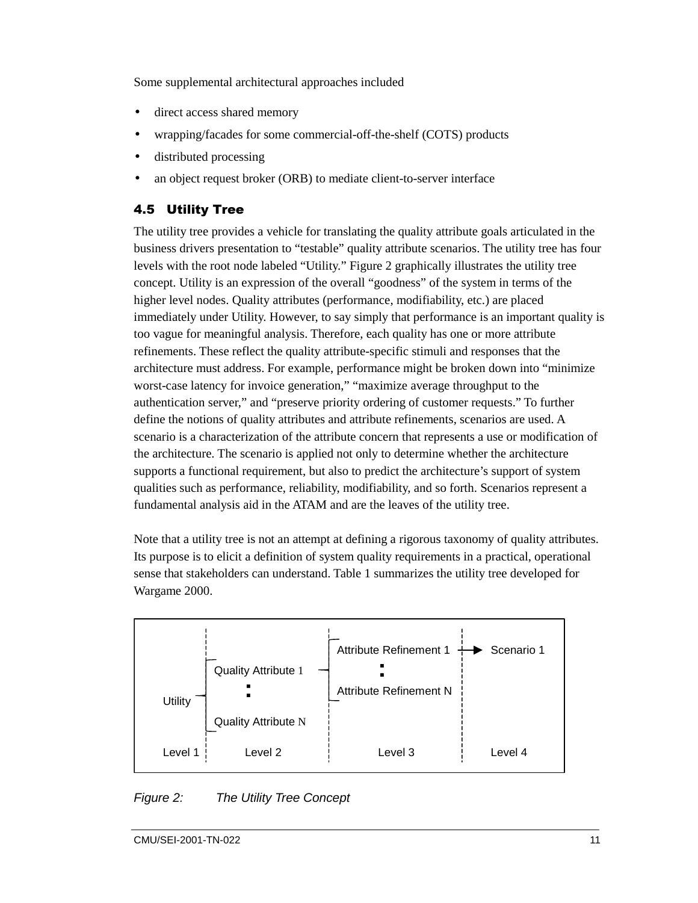Some supplemental architectural approaches included

- direct access shared memory
- wrapping/facades for some commercial-off-the-shelf (COTS) products
- distributed processing
- an object request broker (ORB) to mediate client-to-server interface

# 4.5 Utility Tree

The utility tree provides a vehicle for translating the quality attribute goals articulated in the business drivers presentation to "testable" quality attribute scenarios. The utility tree has four levels with the root node labeled "Utility." Figure 2 graphically illustrates the utility tree concept. Utility is an expression of the overall "goodness" of the system in terms of the higher level nodes. Quality attributes (performance, modifiability, etc.) are placed immediately under Utility. However, to say simply that performance is an important quality is too vague for meaningful analysis. Therefore, each quality has one or more attribute refinements. These reflect the quality attribute-specific stimuli and responses that the architecture must address. For example, performance might be broken down into "minimize worst-case latency for invoice generation," "maximize average throughput to the authentication server," and "preserve priority ordering of customer requests." To further define the notions of quality attributes and attribute refinements, scenarios are used. A scenario is a characterization of the attribute concern that represents a use or modification of the architecture. The scenario is applied not only to determine whether the architecture supports a functional requirement, but also to predict the architecture's support of system qualities such as performance, reliability, modifiability, and so forth. Scenarios represent a fundamental analysis aid in the ATAM and are the leaves of the utility tree.

Note that a utility tree is not an attempt at defining a rigorous taxonomy of quality attributes. Its purpose is to elicit a definition of system quality requirements in a practical, operational sense that stakeholders can understand. Table 1 summarizes the utility tree developed for Wargame 2000.



Figure 2: The Utility Tree Concept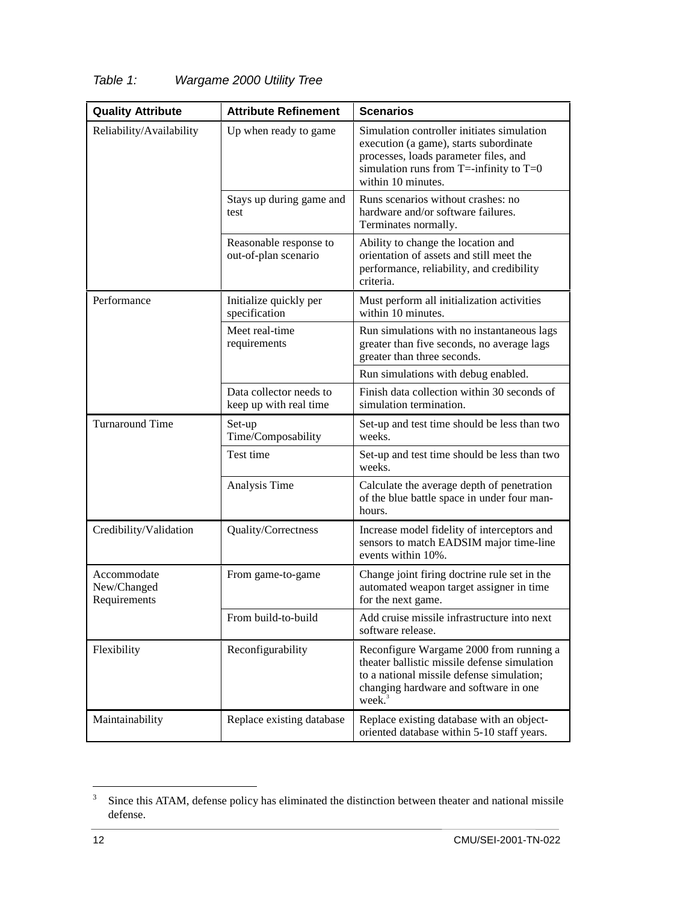| <b>Quality Attribute</b>                   | <b>Attribute Refinement</b>                       | <b>Scenarios</b>                                                                                                                                                                                              |  |
|--------------------------------------------|---------------------------------------------------|---------------------------------------------------------------------------------------------------------------------------------------------------------------------------------------------------------------|--|
| Reliability/Availability                   | Up when ready to game                             | Simulation controller initiates simulation<br>execution (a game), starts subordinate<br>processes, loads parameter files, and<br>simulation runs from $T = -\infty$ infinity to $T = 0$<br>within 10 minutes. |  |
|                                            | Stays up during game and<br>test                  | Runs scenarios without crashes: no<br>hardware and/or software failures.<br>Terminates normally.                                                                                                              |  |
|                                            | Reasonable response to<br>out-of-plan scenario    | Ability to change the location and<br>orientation of assets and still meet the<br>performance, reliability, and credibility<br>criteria.                                                                      |  |
| Performance                                | Initialize quickly per<br>specification           | Must perform all initialization activities<br>within 10 minutes.                                                                                                                                              |  |
|                                            | Meet real-time<br>requirements                    | Run simulations with no instantaneous lags<br>greater than five seconds, no average lags<br>greater than three seconds.                                                                                       |  |
|                                            |                                                   | Run simulations with debug enabled.                                                                                                                                                                           |  |
|                                            | Data collector needs to<br>keep up with real time | Finish data collection within 30 seconds of<br>simulation termination.                                                                                                                                        |  |
| <b>Turnaround Time</b>                     | Set-up<br>Time/Composability                      | Set-up and test time should be less than two<br>weeks.                                                                                                                                                        |  |
|                                            | Test time                                         | Set-up and test time should be less than two<br>weeks.                                                                                                                                                        |  |
|                                            | Analysis Time                                     | Calculate the average depth of penetration<br>of the blue battle space in under four man-<br>hours.                                                                                                           |  |
| Credibility/Validation                     | Quality/Correctness                               | Increase model fidelity of interceptors and<br>sensors to match EADSIM major time-line<br>events within 10%.                                                                                                  |  |
| Accommodate<br>New/Changed<br>Requirements | From game-to-game                                 | Change joint firing doctrine rule set in the<br>automated weapon target assigner in time<br>for the next game.                                                                                                |  |
|                                            | From build-to-build                               | Add cruise missile infrastructure into next<br>software release.                                                                                                                                              |  |
| Flexibility                                | Reconfigurability                                 | Reconfigure Wargame 2000 from running a<br>theater ballistic missile defense simulation<br>to a national missile defense simulation;<br>changing hardware and software in one<br>week. <sup>3</sup>           |  |
| Maintainability                            | Replace existing database                         | Replace existing database with an object-<br>oriented database within 5-10 staff years.                                                                                                                       |  |

# Table 1: Wargame 2000 Utility Tree

<sup>&</sup>lt;sup>2</sup><br>3 Since this ATAM, defense policy has eliminated the distinction between theater and national missile defense.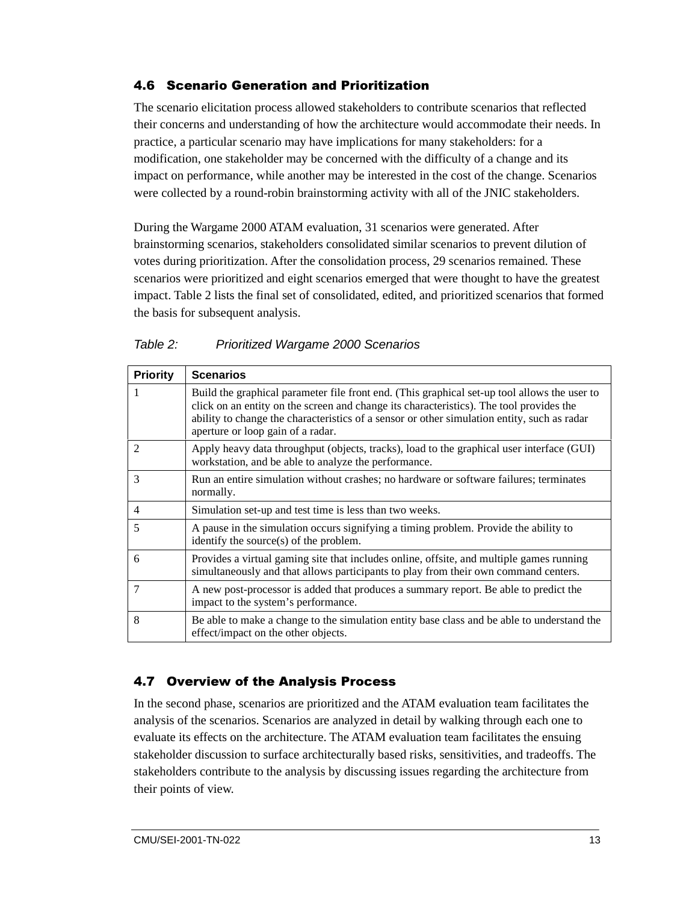# 4.6 Scenario Generation and Prioritization

The scenario elicitation process allowed stakeholders to contribute scenarios that reflected their concerns and understanding of how the architecture would accommodate their needs. In practice, a particular scenario may have implications for many stakeholders: for a modification, one stakeholder may be concerned with the difficulty of a change and its impact on performance, while another may be interested in the cost of the change. Scenarios were collected by a round-robin brainstorming activity with all of the JNIC stakeholders.

During the Wargame 2000 ATAM evaluation, 31 scenarios were generated. After brainstorming scenarios, stakeholders consolidated similar scenarios to prevent dilution of votes during prioritization. After the consolidation process, 29 scenarios remained. These scenarios were prioritized and eight scenarios emerged that were thought to have the greatest impact. Table 2 lists the final set of consolidated, edited, and prioritized scenarios that formed the basis for subsequent analysis.

#### Table 2: Prioritized Wargame 2000 Scenarios

| <b>Priority</b> | <b>Scenarios</b>                                                                                                                                                                                                                                                                                                            |  |
|-----------------|-----------------------------------------------------------------------------------------------------------------------------------------------------------------------------------------------------------------------------------------------------------------------------------------------------------------------------|--|
| 1               | Build the graphical parameter file front end. (This graphical set-up tool allows the user to<br>click on an entity on the screen and change its characteristics). The tool provides the<br>ability to change the characteristics of a sensor or other simulation entity, such as radar<br>aperture or loop gain of a radar. |  |
| 2               | Apply heavy data throughput (objects, tracks), load to the graphical user interface (GUI)<br>workstation, and be able to analyze the performance.                                                                                                                                                                           |  |
| 3               | Run an entire simulation without crashes; no hardware or software failures; terminates<br>normally.                                                                                                                                                                                                                         |  |
| 4               | Simulation set-up and test time is less than two weeks.                                                                                                                                                                                                                                                                     |  |
| 5               | A pause in the simulation occurs signifying a timing problem. Provide the ability to<br>identify the source $(s)$ of the problem.                                                                                                                                                                                           |  |
| 6               | Provides a virtual gaming site that includes online, offsite, and multiple games running<br>simultaneously and that allows participants to play from their own command centers.                                                                                                                                             |  |
| 7               | A new post-processor is added that produces a summary report. Be able to predict the<br>impact to the system's performance.                                                                                                                                                                                                 |  |
| 8               | Be able to make a change to the simulation entity base class and be able to understand the<br>effect/impact on the other objects.                                                                                                                                                                                           |  |

# 4.7 Overview of the Analysis Process

In the second phase, scenarios are prioritized and the ATAM evaluation team facilitates the analysis of the scenarios. Scenarios are analyzed in detail by walking through each one to evaluate its effects on the architecture. The ATAM evaluation team facilitates the ensuing stakeholder discussion to surface architecturally based risks, sensitivities, and tradeoffs. The stakeholders contribute to the analysis by discussing issues regarding the architecture from their points of view.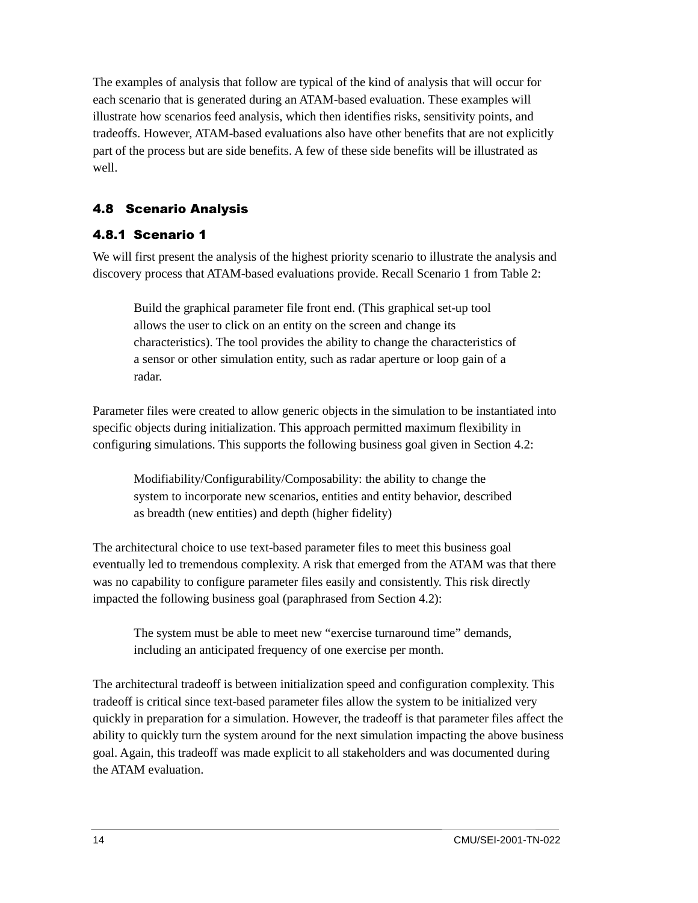The examples of analysis that follow are typical of the kind of analysis that will occur for each scenario that is generated during an ATAM-based evaluation. These examples will illustrate how scenarios feed analysis, which then identifies risks, sensitivity points, and tradeoffs. However, ATAM-based evaluations also have other benefits that are not explicitly part of the process but are side benefits. A few of these side benefits will be illustrated as well.

# 4.8 Scenario Analysis

#### 4.8.1 Scenario 1

We will first present the analysis of the highest priority scenario to illustrate the analysis and discovery process that ATAM-based evaluations provide. Recall Scenario 1 from Table 2:

Build the graphical parameter file front end. (This graphical set-up tool allows the user to click on an entity on the screen and change its characteristics). The tool provides the ability to change the characteristics of a sensor or other simulation entity, such as radar aperture or loop gain of a radar.

Parameter files were created to allow generic objects in the simulation to be instantiated into specific objects during initialization. This approach permitted maximum flexibility in configuring simulations. This supports the following business goal given in Section 4.2:

Modifiability/Configurability/Composability: the ability to change the system to incorporate new scenarios, entities and entity behavior, described as breadth (new entities) and depth (higher fidelity)

The architectural choice to use text-based parameter files to meet this business goal eventually led to tremendous complexity. A risk that emerged from the ATAM was that there was no capability to configure parameter files easily and consistently. This risk directly impacted the following business goal (paraphrased from Section 4.2):

The system must be able to meet new "exercise turnaround time" demands, including an anticipated frequency of one exercise per month.

The architectural tradeoff is between initialization speed and configuration complexity. This tradeoff is critical since text-based parameter files allow the system to be initialized very quickly in preparation for a simulation. However, the tradeoff is that parameter files affect the ability to quickly turn the system around for the next simulation impacting the above business goal. Again, this tradeoff was made explicit to all stakeholders and was documented during the ATAM evaluation.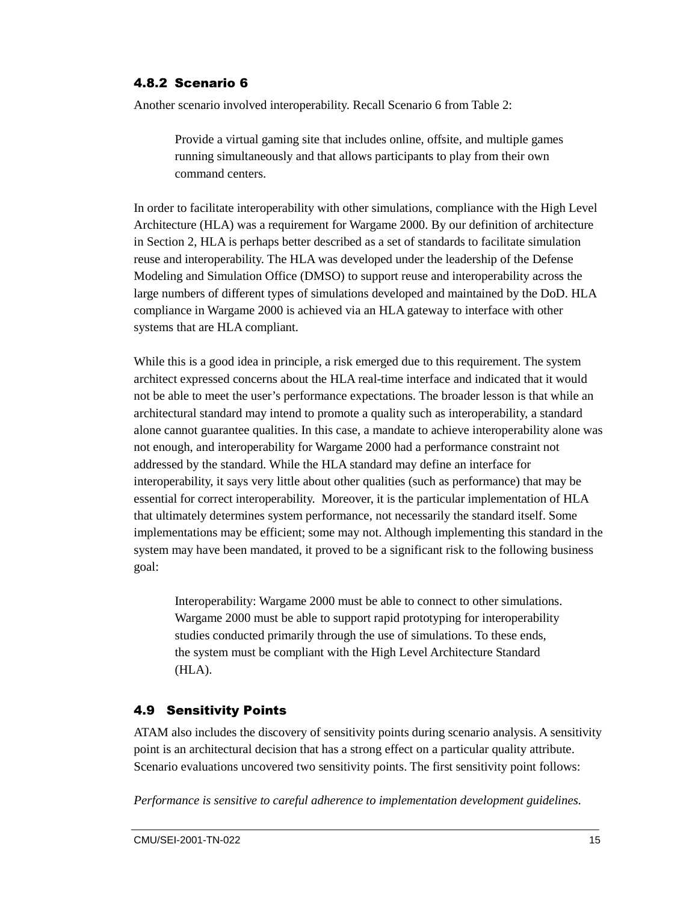#### 4.8.2 Scenario 6

Another scenario involved interoperability. Recall Scenario 6 from Table 2:

Provide a virtual gaming site that includes online, offsite, and multiple games running simultaneously and that allows participants to play from their own command centers.

In order to facilitate interoperability with other simulations, compliance with the High Level Architecture (HLA) was a requirement for Wargame 2000. By our definition of architecture in Section 2, HLA is perhaps better described as a set of standards to facilitate simulation reuse and interoperability. The HLA was developed under the leadership of the Defense Modeling and Simulation Office (DMSO) to support reuse and interoperability across the large numbers of different types of simulations developed and maintained by the DoD. HLA compliance in Wargame 2000 is achieved via an HLA gateway to interface with other systems that are HLA compliant.

While this is a good idea in principle, a risk emerged due to this requirement. The system architect expressed concerns about the HLA real-time interface and indicated that it would not be able to meet the user's performance expectations. The broader lesson is that while an architectural standard may intend to promote a quality such as interoperability, a standard alone cannot guarantee qualities. In this case, a mandate to achieve interoperability alone was not enough, and interoperability for Wargame 2000 had a performance constraint not addressed by the standard. While the HLA standard may define an interface for interoperability, it says very little about other qualities (such as performance) that may be essential for correct interoperability. Moreover, it is the particular implementation of HLA that ultimately determines system performance, not necessarily the standard itself. Some implementations may be efficient; some may not. Although implementing this standard in the system may have been mandated, it proved to be a significant risk to the following business goal:

Interoperability: Wargame 2000 must be able to connect to other simulations. Wargame 2000 must be able to support rapid prototyping for interoperability studies conducted primarily through the use of simulations. To these ends, the system must be compliant with the High Level Architecture Standard (HLA).

#### 4.9 Sensitivity Points

ATAM also includes the discovery of sensitivity points during scenario analysis. A sensitivity point is an architectural decision that has a strong effect on a particular quality attribute. Scenario evaluations uncovered two sensitivity points. The first sensitivity point follows:

*Performance is sensitive to careful adherence to implementation development guidelines.*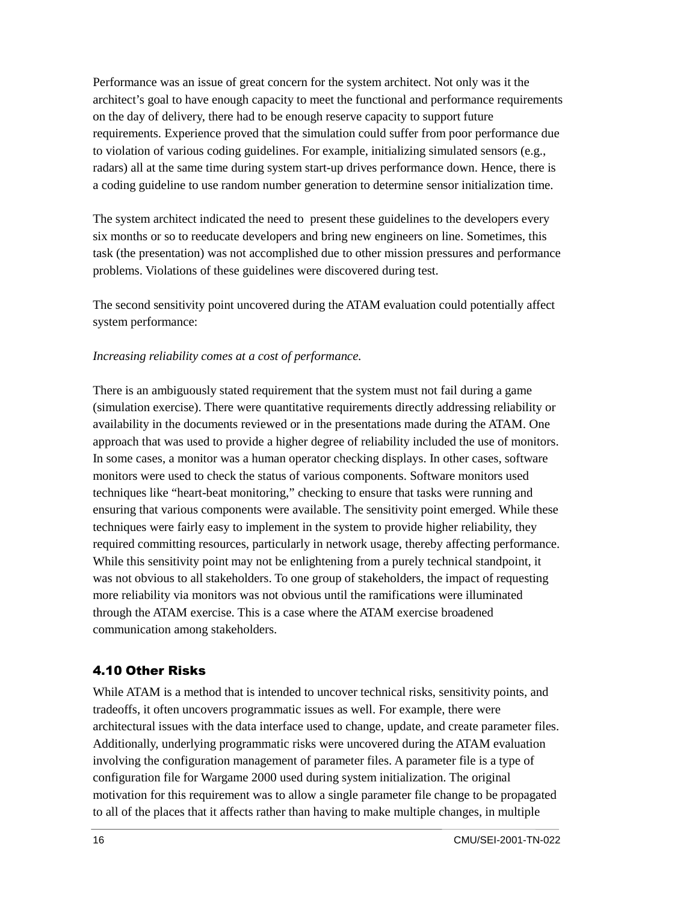Performance was an issue of great concern for the system architect. Not only was it the architect's goal to have enough capacity to meet the functional and performance requirements on the day of delivery, there had to be enough reserve capacity to support future requirements. Experience proved that the simulation could suffer from poor performance due to violation of various coding guidelines. For example, initializing simulated sensors (e.g., radars) all at the same time during system start-up drives performance down. Hence, there is a coding guideline to use random number generation to determine sensor initialization time.

The system architect indicated the need to present these guidelines to the developers every six months or so to reeducate developers and bring new engineers on line. Sometimes, this task (the presentation) was not accomplished due to other mission pressures and performance problems. Violations of these guidelines were discovered during test.

The second sensitivity point uncovered during the ATAM evaluation could potentially affect system performance:

#### *Increasing reliability comes at a cost of performance.*

There is an ambiguously stated requirement that the system must not fail during a game (simulation exercise). There were quantitative requirements directly addressing reliability or availability in the documents reviewed or in the presentations made during the ATAM. One approach that was used to provide a higher degree of reliability included the use of monitors. In some cases, a monitor was a human operator checking displays. In other cases, software monitors were used to check the status of various components. Software monitors used techniques like "heart-beat monitoring," checking to ensure that tasks were running and ensuring that various components were available. The sensitivity point emerged. While these techniques were fairly easy to implement in the system to provide higher reliability, they required committing resources, particularly in network usage, thereby affecting performance. While this sensitivity point may not be enlightening from a purely technical standpoint, it was not obvious to all stakeholders. To one group of stakeholders, the impact of requesting more reliability via monitors was not obvious until the ramifications were illuminated through the ATAM exercise. This is a case where the ATAM exercise broadened communication among stakeholders.

#### 4.10 Other Risks

While ATAM is a method that is intended to uncover technical risks, sensitivity points, and tradeoffs, it often uncovers programmatic issues as well. For example, there were architectural issues with the data interface used to change, update, and create parameter files. Additionally, underlying programmatic risks were uncovered during the ATAM evaluation involving the configuration management of parameter files. A parameter file is a type of configuration file for Wargame 2000 used during system initialization. The original motivation for this requirement was to allow a single parameter file change to be propagated to all of the places that it affects rather than having to make multiple changes, in multiple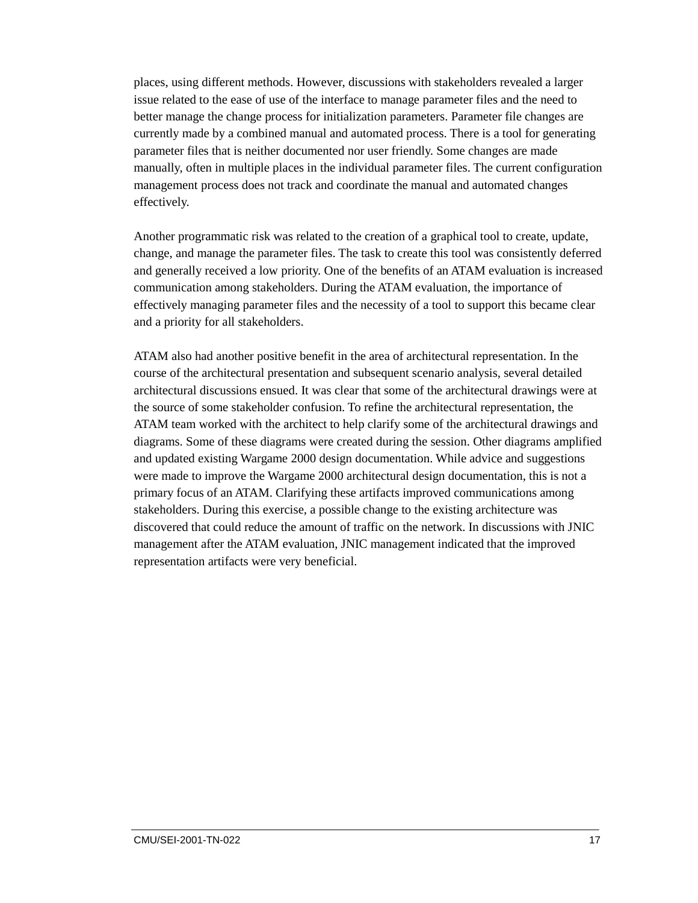places, using different methods. However, discussions with stakeholders revealed a larger issue related to the ease of use of the interface to manage parameter files and the need to better manage the change process for initialization parameters. Parameter file changes are currently made by a combined manual and automated process. There is a tool for generating parameter files that is neither documented nor user friendly. Some changes are made manually, often in multiple places in the individual parameter files. The current configuration management process does not track and coordinate the manual and automated changes effectively.

Another programmatic risk was related to the creation of a graphical tool to create, update, change, and manage the parameter files. The task to create this tool was consistently deferred and generally received a low priority. One of the benefits of an ATAM evaluation is increased communication among stakeholders. During the ATAM evaluation, the importance of effectively managing parameter files and the necessity of a tool to support this became clear and a priority for all stakeholders.

ATAM also had another positive benefit in the area of architectural representation. In the course of the architectural presentation and subsequent scenario analysis, several detailed architectural discussions ensued. It was clear that some of the architectural drawings were at the source of some stakeholder confusion. To refine the architectural representation, the ATAM team worked with the architect to help clarify some of the architectural drawings and diagrams. Some of these diagrams were created during the session. Other diagrams amplified and updated existing Wargame 2000 design documentation. While advice and suggestions were made to improve the Wargame 2000 architectural design documentation, this is not a primary focus of an ATAM. Clarifying these artifacts improved communications among stakeholders. During this exercise, a possible change to the existing architecture was discovered that could reduce the amount of traffic on the network. In discussions with JNIC management after the ATAM evaluation, JNIC management indicated that the improved representation artifacts were very beneficial.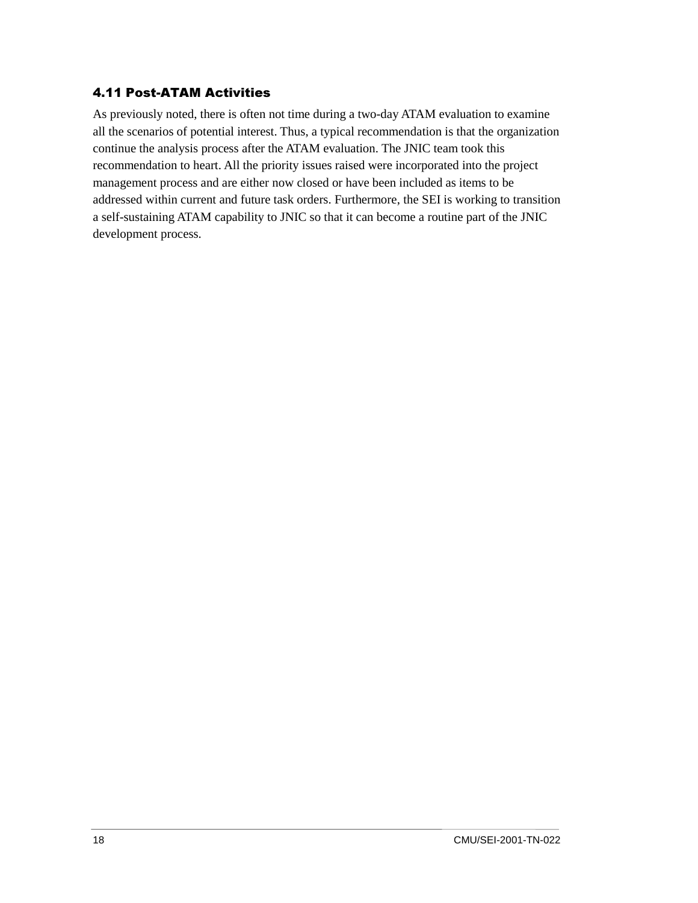#### 4.11 Post-ATAM Activities

As previously noted, there is often not time during a two-day ATAM evaluation to examine all the scenarios of potential interest. Thus, a typical recommendation is that the organization continue the analysis process after the ATAM evaluation. The JNIC team took this recommendation to heart. All the priority issues raised were incorporated into the project management process and are either now closed or have been included as items to be addressed within current and future task orders. Furthermore, the SEI is working to transition a self-sustaining ATAM capability to JNIC so that it can become a routine part of the JNIC development process.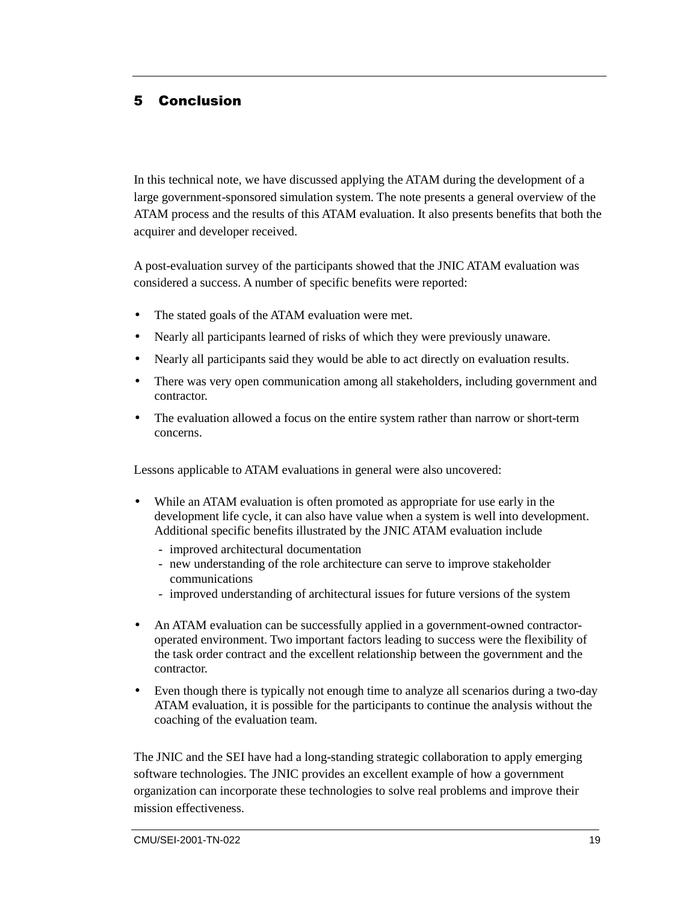# 5 Conclusion

In this technical note, we have discussed applying the ATAM during the development of a large government-sponsored simulation system. The note presents a general overview of the ATAM process and the results of this ATAM evaluation. It also presents benefits that both the acquirer and developer received.

A post-evaluation survey of the participants showed that the JNIC ATAM evaluation was considered a success. A number of specific benefits were reported:

- The stated goals of the ATAM evaluation were met.
- Nearly all participants learned of risks of which they were previously unaware.
- Nearly all participants said they would be able to act directly on evaluation results.
- There was very open communication among all stakeholders, including government and contractor.
- The evaluation allowed a focus on the entire system rather than narrow or short-term concerns.

Lessons applicable to ATAM evaluations in general were also uncovered:

- While an ATAM evaluation is often promoted as appropriate for use early in the development life cycle, it can also have value when a system is well into development. Additional specific benefits illustrated by the JNIC ATAM evaluation include
	- improved architectural documentation
	- new understanding of the role architecture can serve to improve stakeholder communications
	- improved understanding of architectural issues for future versions of the system
- An ATAM evaluation can be successfully applied in a government-owned contractoroperated environment. Two important factors leading to success were the flexibility of the task order contract and the excellent relationship between the government and the contractor.
- Even though there is typically not enough time to analyze all scenarios during a two-day ATAM evaluation, it is possible for the participants to continue the analysis without the coaching of the evaluation team.

The JNIC and the SEI have had a long-standing strategic collaboration to apply emerging software technologies. The JNIC provides an excellent example of how a government organization can incorporate these technologies to solve real problems and improve their mission effectiveness.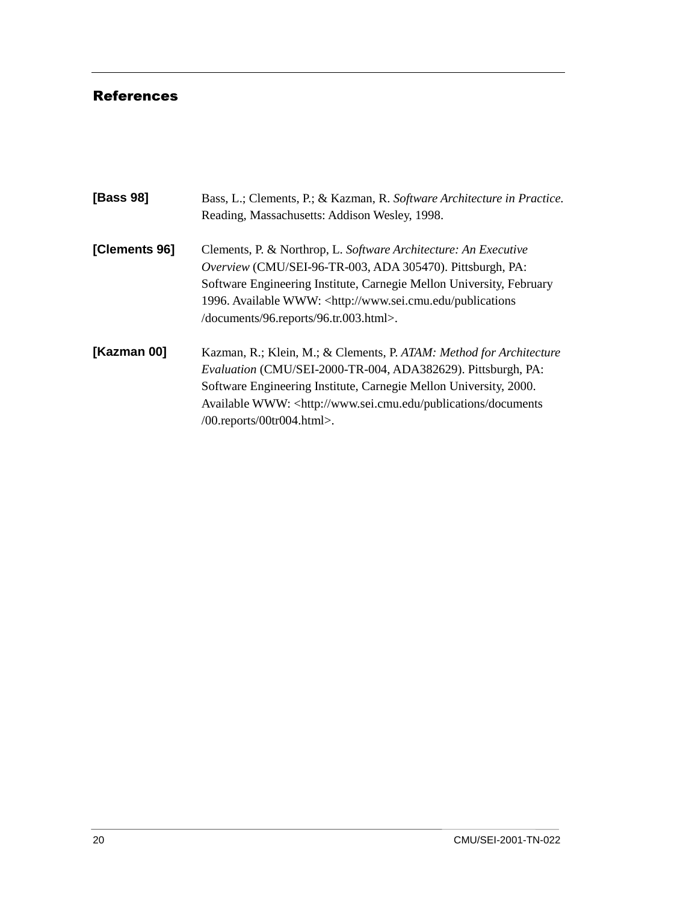# References

| [Bass 98]     | Bass, L.; Clements, P.; & Kazman, R. Software Architecture in Practice.<br>Reading, Massachusetts: Addison Wesley, 1998.                                                                                                                                                                                                                |
|---------------|-----------------------------------------------------------------------------------------------------------------------------------------------------------------------------------------------------------------------------------------------------------------------------------------------------------------------------------------|
| [Clements 96] | Clements, P. & Northrop, L. Software Architecture: An Executive<br>Overview (CMU/SEI-96-TR-003, ADA 305470). Pittsburgh, PA:<br>Software Engineering Institute, Carnegie Mellon University, February<br>1996. Available WWW: <http: publications<br="" www.sei.cmu.edu="">/documents/96.reports/96.tr.003.html&gt;.</http:>             |
| [Kazman 00]   | Kazman, R.; Klein, M.; & Clements, P. ATAM: Method for Architecture<br>Evaluation (CMU/SEI-2000-TR-004, ADA382629). Pittsburgh, PA:<br>Software Engineering Institute, Carnegie Mellon University, 2000.<br>Available WWW: <http: documents<br="" publications="" www.sei.cmu.edu=""><math>/00</math>.reports/00tr004.html&gt;.</http:> |